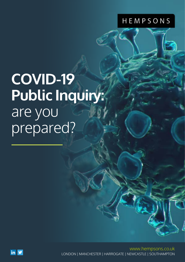## HEMPSONS

# **COVID-19 Public Inquiry:**  are you prepared?

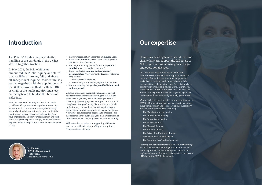# **Introduction**

Hempsons, leading health, social care and charity lawyers, support the full range of NHS organisations, advising on strategic and operational issues.

Our healthcare team is a market leader in the healthcare sector. We work with approximately 120 trusts and foundation trusts nationwide, providing unrivalled strength in depth for our clients to help them meet the challenges they face. Our solicitors have extensive experience of inquiries as well as inquests, investigations, information governance and all of the areas of law required to assist you as you navigate the challenges of the months, and potentially years ahead.

We are perfectly placed to guide your preparation for the COVID-19 Inquiry, through extensive experience gained in supporting health and social care clients in statutory and non-statutory inquiries, including:

- The Manchester Arena Inquiry
- The Infected Blood Inquiry
- The Jimmy Savile Inquiry
- The Francis Inquiry
- The Mubarek Inquiry
- The Shipman Inquiry
- • The Bristol Royal Infirmary Inquiry
- Rochdale Historic Abuse Review
- The Neale and Kerr/Haslam Inquiries

Learning and patient safety is at the heart of everything we do. Whatever role your organisation ultimately has in the Inquiry, we will work with you to capture and implement learning from the challenges faced across the NHS during the COVID-19 pandemic.



## **Our expertise**

The COVID-19 Public Inquiry into the handling of the pandemic in the UK has started to gather traction.

In May 2021, the Prime Minister announced the Public Inquiry, and stated that it will be a "proper, full, and above all, independent inquiry". Momentum has started to gather, with the appointment of the Rt Hon Baroness Heather Hallett DBE as Chair of the Public Inquiry, and steps are being taken to finalise the Terms of Reference.

With the key lines of enquiry for health and social providers and representative organisations starting to crystalise, it is time to ensure that you are ready to comply with their obligations in the event that the Inquiry team seeks disclosure of information from your organisation. To put your organisation and staff in the best possible place to comply with any disclosure request, there are preparatory steps that you should be taking:

- Has your organisation appointed an **Inquiry Lead**?
- Has a "**Stop notice**" been sent to all staff to prevent the destruction of evidence?
- Are the processes up to date for ensuring **contact details** for leavers and key personnel?
- Have you started **collating and sequencing documentation** "relevant" to the Terms of Reference for possible:
	- disclosure to the Inquiry?
	- referencing in statements, reports or evidence?
- Are you ensuring that you keep **staff fully informed and supported**?

Whether or not your organisation has experience of public inquiries, there is no escaping the fact that the task ahead of you may be both daunting and time consuming. By taking a proactive approach, you will be best placed to respond to any disclosure request made by the Inquiry team with the least disruption to your organisation, in what continue to be challenging times. A structured and informed approach to preparation is also essential in the event that your staff are required to produce statements and/or give evidence at the Inquiry.

With extensive experience in supporting NHS trusts and care providers in high profile public inquiries, Hempsons is here to help.



**Liz Hackett COVID-19 Inquiry lead** 01423 724132 [l.hackett@hempsons.co.uk](mailto:l.hackett%40hempsons.co.uk?subject=)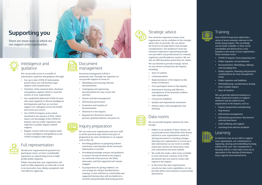# **Supporting you**

There are many ways in which we can support your organisation.





#### Intelligence and guidance

We can provide access to a wealth of information, expertise and guidance through:

- Our up to date COVID-19 information portal where you will find key legal updates and considerations
- Timelines of key national dates, decisions and guidance against which to track the actions of your organisation
- Our established dedicated COVID-19 team who meet regularly to discuss intelligence, developments and how we can best support our colleagues across the health and social care sectors
- Our COVID-19 Inquiry series which launched in the autumn of 2021, which shares our knowledge of the COVID-19 Inquiry, and our wider experience and expertise on public inquiry related subjects
- Regular contact with trust inquiry leads to share intelligence and guidance as the COVID-19 Inquiry takes shape
- COVID-19 Inquiry: Start preparing now<br>• Public inquiries: An introduction<br>• Documentation: Identifying, collating
- 
- and managing data
- Public inquiries: Planning and practical considerations for trust management teams
- 
- Public inquiries and liabilities Whistleblowing, considerations arising from a public inquiry
- Duty of Candour

Our COVID-19 team have delivered a series of seven seminars relevant to the forthcoming Inquiry. The recordings can be made available, or they can be remodelled and delivered in a way bespoke to the needs of your organisation. These seminars cover:

We can provide tailored training on a range of practical matters to support whatever may be asked of your organisation in the Inquiry, such as:

- Inquiry preparation and planning
- Stop Notices
- 
- Information management<br>• Information governance "key leavers" and exit interviews
- Staff wellbeing and support
- Learning from adverse incidents



#### Data rooms

We can provide bespoke solutions for data storage:

- Subject to an analysis of data volume, we can provide secure SharePoint data Rooms tailored to your organisations needs for sharing documents or tracking changes, allowing your organisation to access up to date information on our work (a weekly email alert system lets them know what new information has been loaded)
- We could also make a data room available to store electronic versions of all of the documents that you need to retain with regard to the Inquiry
- In the event that data requirements exceed our data room capabilities, we can provide advice and assistance on procuring alternatives



#### **Training**

### Document management

Document management will be a mammoth task. Through our expertise we can provide support in terms of: • Identifying and securing relevant

- documentation
- Cataloguing and sequencing documentation for easy access and searches
- System and data management
- Information governance
- Evaluation and analysis of documentation
- 
- Disclosure to the Inquiry Requests for disclosure external persons, patients/relatives, the press etc

## Strategic advice

Our extensive experience means your organisation can be confident in the strategic advice that we provide. We can advise the board on its legal duties and strategic considerations. Our healthcare team has extensive experience representing health care providers and professionals in criminal, regulatory and disciplinary matters. We are also an NHS Resolution panel firm for claims. We can therefore provide strategic advice on any matters arising from the Inquiry,

- including: Duty of candour
- 
- Communications Representations to the Inquiry on the terms of reference
- 
- Core participant status in the Inquiry Information sharing and effective management of the potential conflicts with stakeholders
- 
- Concurrent liabilities Quality and reputational assurances
- Patient safety, risk management and learning



## Inquiry preparation

We can assist your organisation and your staff in all the practical steps which form part of preparation for and contribution to an inquiry such as this, by:

- Providing guidance on preparing witness statements, ensuring that all the necessary information is secured
- Providing knowledge sessions and guidance to ensure all staff involved in the Inquiry are informed of the process, the likely timescales, and feel supported and remain engaged
- In preparation for giving evidence, we can arrange for witness familiarisation training, so that staff feel as comfortable and supported during what will inevitably be a stressful and potentially distressing process



## Full representation

Should your organisation be granted core participant status, we have considerable experience in representing trusts in high profile public inquiries.

Whilst ensuring that your organisation and staff are fully supported, we will seek to work in an innovative way, taking a pragmatic and cost-effective approach.



### Learning

In whatever way we are able to support your organisation, our commitment to capturing, sharing and embedding learning will be at the core. Our commitment to learning will be a value-add, if you are in agreement to the sharing of learning at local, regional and national level.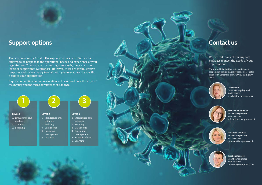# **Support options**

There is no 'one size fits all'. The support that we can offer can be tailored to be bespoke to the operational needs and experience of your organisation. To assist you in assessing your needs, there are three levels of support that we propose. However, these are for illustrative purposes and we are happy to work with you to evaluate the specific needs of your organisation.

Inquiry preparation and representation will be offered once the scope of the Inquiry and the terms of reference are known.







**Liz Hackett COVID-19 Inquiry lead** 01423 724132 [l.hackett@hempsons.co.uk](mailto:l.hackett%40hempsons.co.uk?subject=)



**Katherine Sheldrick Healthcare partner** 0161 234 2467 [k.sheldrick@hempsons.co.uk](mailto:k.sheldrick%40hempsons.co.uk?subject=)



# **Contact us**

We can tailor any of our support packages to meet the needs of your organisation.

If you would like further information, or a bespoke support package proposal, please get in touch with a member of our COVID-19 Inquiry team:

> **Elizabeth Thomas Healthcare partner** 020 7484 7637 [e.thomas@hempsons.co.uk](mailto:e.thomas%40hempsons.co.uk?subject=)



**Stephen Maratos Healthcare partner** 0191 230 6045 [s.maratos@hempsons.co.uk](mailto:s.maratos%40hempsons.co.uk?subject=)